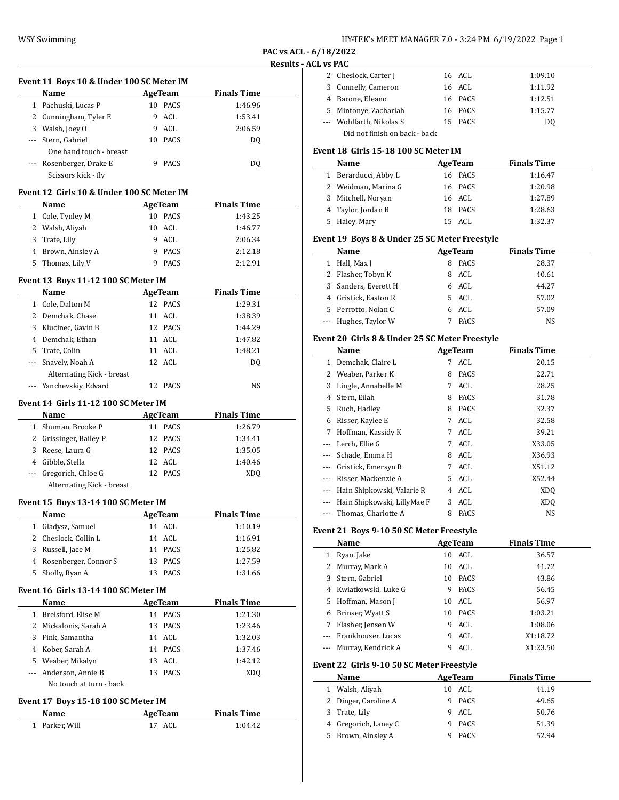| HY-TEK's MEET MANAGER 7.0 - 3:24 PM 6/19/2022 Page 1 |  |  |  |
|------------------------------------------------------|--|--|--|
|------------------------------------------------------|--|--|--|

**PAC vs ACL - 6/18/2022 Results - ACL v** 

|                | Event 11 Boys 10 & Under 100 SC Meter IM   |    |                   |                    |  |
|----------------|--------------------------------------------|----|-------------------|--------------------|--|
|                | Name                                       |    | AgeTeam           | <b>Finals Time</b> |  |
|                | 1 Pachuski, Lucas P                        |    | 10 PACS           | 1:46.96            |  |
|                | 2 Cunningham, Tyler E                      | 9  | ACL               | 1:53.41            |  |
|                | 3 Walsh, Joey O                            | 9  | ACL               | 2:06.59            |  |
| ---            | Stern, Gabriel                             |    | 10 PACS           | DQ                 |  |
|                | One hand touch - breast                    |    |                   |                    |  |
|                | Rosenberger, Drake E                       | 9  | PACS              | DQ                 |  |
|                | Scissors kick - fly                        |    |                   |                    |  |
|                |                                            |    |                   |                    |  |
|                | Event 12  Girls 10 & Under 100 SC Meter IM |    |                   |                    |  |
|                | Name                                       |    | <b>AgeTeam</b>    | <b>Finals Time</b> |  |
|                | 1 Cole, Tynley M                           |    | 10 PACS           | 1:43.25            |  |
|                | 2 Walsh, Aliyah                            |    | 10 ACL            | 1:46.77            |  |
|                | 3 Trate, Lily                              |    | 9 ACL             | 2:06.34            |  |
|                | 4 Brown, Ainsley A                         |    | 9 PACS            | 2:12.18            |  |
| 5.             | Thomas, Lily V                             | 9  | PACS              | 2:12.91            |  |
|                | Event 13 Boys 11-12 100 SC Meter IM        |    |                   |                    |  |
|                | <b>Name</b>                                |    | <b>AgeTeam</b>    | <b>Finals Time</b> |  |
|                | 1 Cole, Dalton M                           |    | 12 PACS           | 1:29.31            |  |
|                | 2 Demchak, Chase                           |    | 11 ACL            | 1:38.39            |  |
|                | 3 Klucinec, Gavin B                        |    | 12 PACS           | 1:44.29            |  |
|                | 4 Demchak, Ethan                           |    | 11 ACL            | 1:47.82            |  |
|                | 5 Trate, Colin                             |    | 11 ACL            | 1:48.21            |  |
|                | --- Snavely, Noah A                        |    | 12 ACL            | DQ                 |  |
|                | Alternating Kick - breast                  |    |                   |                    |  |
|                | Yanchevskiy, Edvard                        |    | 12 PACS           | NS                 |  |
|                | Event 14 Girls 11-12 100 SC Meter IM       |    |                   |                    |  |
|                |                                            |    |                   |                    |  |
|                | Name                                       |    | <b>AgeTeam</b>    | <b>Finals Time</b> |  |
|                | 1 Shuman, Brooke P                         |    | 11 PACS           | 1:26.79            |  |
| 3              | 2 Grissinger, Bailey P                     |    | 12 PACS           | 1:34.41            |  |
|                | Reese, Laura G<br>4 Gibble, Stella         |    | 12 PACS<br>12 ACL | 1:35.05<br>1:40.46 |  |
| $\cdots$       | Gregorich, Chloe G                         |    | 12 PACS           |                    |  |
|                | Alternating Kick - breast                  |    |                   | XDQ                |  |
|                |                                            |    |                   |                    |  |
|                | Event 15 Boys 13-14 100 SC Meter IM        |    |                   |                    |  |
|                | Name                                       |    | AgeTeam           | <b>Finals Time</b> |  |
| 1              | Gladysz, Samuel                            |    | 14 ACL            | 1:10.19            |  |
| $\overline{2}$ | Cheslock, Collin L                         |    | 14 ACL            | 1:16.91            |  |
| 3              | Russell, Jace M                            |    | 14 PACS           | 1:25.82            |  |
|                | 4 Rosenberger, Connor S                    | 13 | PACS              | 1:27.59            |  |
| 5              | Sholly, Ryan A                             |    | 13 PACS           | 1:31.66            |  |
|                | Event 16 Girls 13-14 100 SC Meter IM       |    |                   |                    |  |
|                | Name                                       |    | <b>AgeTeam</b>    | <b>Finals Time</b> |  |
| 1              | Brelsford, Elise M                         |    | 14 PACS           | 1:21.30            |  |
| 2              | Mickalonis, Sarah A                        | 13 | PACS              | 1:23.46            |  |
| 3              | Fink, Samantha                             |    | 14 ACL            | 1:32.03            |  |
|                | 4 Kober, Sarah A                           |    | 14 PACS           | 1:37.46            |  |
|                | 5 Weaber, Mikalyn                          |    | 13 ACL            | 1:42.12            |  |
| ---            | Anderson, Annie B                          |    | 13 PACS           | XDQ                |  |
|                | No touch at turn - back                    |    |                   |                    |  |
|                |                                            |    |                   |                    |  |
|                | <b>Event 17 Boys 15-18 100 SC Meter IM</b> |    |                   |                    |  |
|                | Name                                       |    | <b>AgeTeam</b>    | <b>Finals Time</b> |  |
| $\mathbf{1}$   | Parker, Will                               |    | 17 ACL            | 1:04.42            |  |
|                |                                            |    |                   |                    |  |

| .CL vs PAC   |                                                |                |                    |  |
|--------------|------------------------------------------------|----------------|--------------------|--|
|              | 2 Cheslock, Carter J                           | 16 ACL         | 1:09.10            |  |
|              | 3 Connelly, Cameron                            | 16 ACL         | 1:11.92            |  |
|              | 4 Barone, Eleano                               | 16 PACS        | 1:12.51            |  |
|              | 5 Mintonye, Zachariah                          | 16 PACS        | 1:15.77            |  |
|              | --- Wohlfarth, Nikolas S                       | 15 PACS        | DQ                 |  |
|              | Did not finish on back - back                  |                |                    |  |
|              | Event 18 Girls 15-18 100 SC Meter IM           |                |                    |  |
|              | Name                                           | AgeTeam        | <b>Finals Time</b> |  |
|              | 1 Berarducci, Abby L                           | 16 PACS        | 1:16.47            |  |
|              | 2 Weidman, Marina G                            | 16 PACS        | 1:20.98            |  |
|              | 3 Mitchell, Noryan                             | 16 ACL         | 1:27.89            |  |
|              | 4 Taylor, Jordan B                             | 18 PACS        | 1:28.63            |  |
|              | 5 Haley, Mary                                  | 15 ACL         | 1:32.37            |  |
|              |                                                |                |                    |  |
|              | Event 19 Boys 8 & Under 25 SC Meter Freestyle  |                |                    |  |
|              | Name                                           | <b>AgeTeam</b> | <b>Finals Time</b> |  |
| $\mathbf{1}$ | Hall, Max J                                    | 8 PACS         | 28.37              |  |
|              | 2 Flasher, Tobyn K                             | 8 ACL          | 40.61              |  |
|              | 3 Sanders, Everett H                           | 6 ACL          | 44.27              |  |
|              | 4 Gristick, Easton R                           | 5 ACL          | 57.02              |  |
|              | 5 Perrotto, Nolan C                            | 6 ACL          | 57.09              |  |
|              | --- Hughes, Taylor W                           | 7 PACS         | NS                 |  |
|              | Event 20 Girls 8 & Under 25 SC Meter Freestyle |                |                    |  |
|              | Name                                           | AgeTeam        | <b>Finals Time</b> |  |
|              | 1 Demchak, Claire L                            | 7 ACL          | 20.15              |  |
|              | 2 Weaber, Parker K                             | 8 PACS         | 22.71              |  |
|              | 3 Lingle, Annabelle M                          | 7 ACL          | 28.25              |  |
|              | 4 Stern, Eilah                                 | 8 PACS         | 31.78              |  |
|              | 5 Ruch, Hadley                                 | 8 PACS         | 32.37              |  |
|              | 6 Risser, Kaylee E                             | 7 ACL          | 32.58              |  |
|              | 7 Hoffman, Kassidy K                           | 7 ACL          | 39.21              |  |
|              | --- Lerch. Ellie G                             | 7 ACL          | X33.05             |  |
|              | --- Schade, Emma H                             | 8 ACL          | X36.93             |  |
|              | --- Gristick, Emersyn R                        | 7 ACL          | X51.12             |  |
|              | --- Risser, Mackenzie A                        | 5 ACL          | X52.44             |  |
|              | --- Hain Shipkowski, Valarie R                 | 4 ACL          | XDQ                |  |
|              | --- Hain Shipkowski, LillyMae F                | 3 ACL          | XDQ                |  |
|              | --- Thomas, Charlotte A                        | 8 PACS         | NS                 |  |
|              | Event 21 Boys 9-10 50 SC Meter Freestyle       |                |                    |  |
|              | Name                                           | <b>AgeTeam</b> | <b>Finals Time</b> |  |
|              | 1 Ryan, Jake                                   | 10 ACL         | 36.57              |  |
|              | 2 Murray, Mark A                               | 10 ACL         | 41.72              |  |
| 3            | Stern, Gabriel                                 | 10 PACS        | 43.86              |  |
|              |                                                |                |                    |  |

| 3 Stern, Gabriel      | 10 PACS | 43.86 |
|-----------------------|---------|-------|
| 4 Kwiatkowski, Luke G | 9 PACS  | 56.45 |
| 5 Hoffman, Mason J    | 10 ACL  | 56.97 |

 $\overline{a}$ 

| 7 Flasher, Jensen W                        | ACL            | 1:08.06            |
|--------------------------------------------|----------------|--------------------|
| --- Frankhouser, Lucas                     | ACL            | X1:18.72           |
| --- Murray, Kendrick A                     | ACL            | X1:23.50           |
|                                            |                |                    |
| Event 22  Girls 9-10 50 SC Meter Freestyle |                |                    |
| Name                                       | <b>AgeTeam</b> | <b>Finals Time</b> |
| 1 Walsh, Aliyah                            | 10 ACL         | 41.19              |

3 Trate, Lily 9 ACL 50.76 4 Gregorich, Laney C 9 PACS 51.39 5 Brown, Ainsley A 9 PACS 52.94

6 Brinser, Wyatt S 10 PACS 1:03.21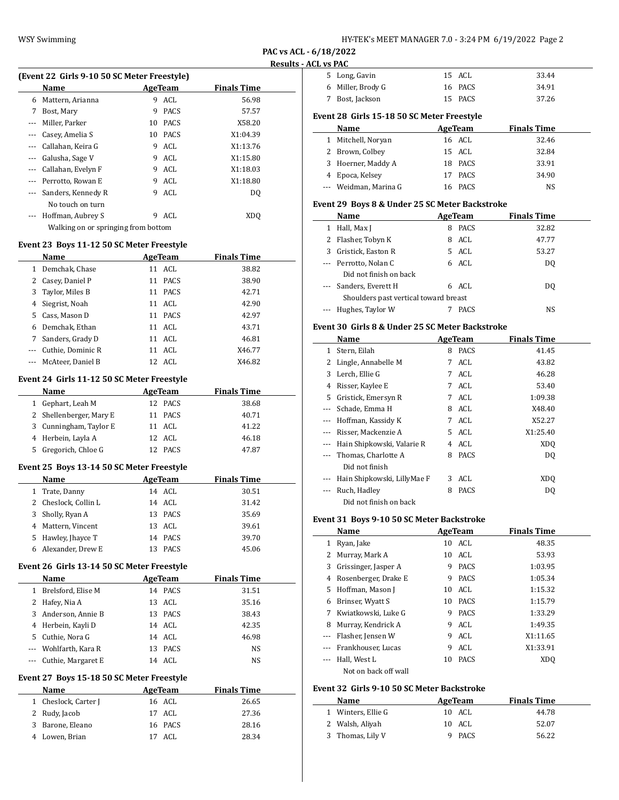| HY-TEK's MEET MANAGER 7.0 - 3:24 PM 6/19/2022 Page 2 |  |  |  |
|------------------------------------------------------|--|--|--|
|------------------------------------------------------|--|--|--|

**PAC vs ACL - 6/18/2022 Results - AC** 

| (Event 22 Girls 9-10 50 SC Meter Freestyle) |                                     |    |                |                    |  |
|---------------------------------------------|-------------------------------------|----|----------------|--------------------|--|
|                                             | Name                                |    | <b>AgeTeam</b> | <b>Finals Time</b> |  |
| 6                                           | Mattern, Arianna                    | 9  | ACL            | 56.98              |  |
| 7                                           | Bost, Mary                          | 9  | <b>PACS</b>    | 57.57              |  |
| $---$                                       | Miller, Parker                      | 10 | <b>PACS</b>    | X58.20             |  |
| $---$                                       | Casey, Amelia S                     | 10 | <b>PACS</b>    | X1:04.39           |  |
| ---                                         | Callahan, Keira G                   | 9  | ACL            | X1:13.76           |  |
| $---$                                       | Galusha, Sage V                     | 9  | ACL            | X1:15.80           |  |
| ---                                         | Callahan, Evelyn F                  | 9  | ACL            | X1:18.03           |  |
| $\cdots$                                    | Perrotto, Rowan E                   | 9  | ACL            | X1:18.80           |  |
|                                             | Sanders, Kennedy R                  | 9  | ACL            | DQ                 |  |
|                                             | No touch on turn                    |    |                |                    |  |
|                                             | Hoffman, Aubrey S                   | 9  | ACL            | XDO                |  |
|                                             | Walking on or springing from bottom |    |                |                    |  |
| Event 23 Boys 11-12 50 SC Meter Freestyle   |                                     |    |                |                    |  |
|                                             | Name                                |    | <b>AgeTeam</b> | <b>Finals Time</b> |  |
| 1                                           | Demchak, Chase                      |    | 11 ACL         | 38.82              |  |
| 2                                           | Casey, Daniel P                     | 11 | <b>PACS</b>    | 38.90              |  |
|                                             |                                     |    |                |                    |  |

| 3 Taylor, Miles B     | 11 PACS | 42.71  |
|-----------------------|---------|--------|
| 4 Siegrist, Noah      | 11 ACL  | 42.90  |
| 5 Cass, Mason D       | 11 PACS | 42.97  |
| 6 Demchak, Ethan      | 11 ACL  | 43.71  |
| 7 Sanders, Grady D    | 11 ACL  | 46.81  |
| --- Cuthie, Dominic R | 11 ACL  | X46.77 |
| --- McAteer, Daniel B | 12 ACL  | X46.82 |

## **Event 24 Girls 11-12 50 SC Meter Freestyle**

| Name                    | AgeTeam | <b>Finals Time</b> |
|-------------------------|---------|--------------------|
| 1 Gephart, Leah M       | 12 PACS | 38.68              |
| 2 Shellenberger, Mary E | 11 PACS | 40.71              |
| 3 Cunningham, Taylor E  | 11 ACL  | 41.22              |
| 4 Herbein, Layla A      | 12 ACL  | 46.18              |
| 5 Gregorich, Chloe G    | 12 PACS | 47.87              |

## **Event 25 Boys 13-14 50 SC Meter Freestyle**

| <b>Name</b>          |    | AgeTeam | <b>Finals Time</b> |
|----------------------|----|---------|--------------------|
| 1 Trate, Danny       |    | 14 ACL  | 30.51              |
| 2 Cheslock, Collin L |    | 14 ACL  | 31.42              |
| 3 Sholly, Ryan A     |    | 13 PACS | 35.69              |
| 4 Mattern, Vincent   |    | 13 ACL  | 39.61              |
| 5 Hawley, Jhayce T   |    | 14 PACS | 39.70              |
| 6 Alexander, Drew E  | 13 | PACS    | 45.06              |

# **Event 26 Girls 13-14 50 SC Meter Freestyle**

|              | Name                   | AgeTeam |             | <b>Finals Time</b> |  |
|--------------|------------------------|---------|-------------|--------------------|--|
| $\mathbf{1}$ | Brelsford, Elise M     | 14      | PACS        | 31.51              |  |
|              | 2 Hafey, Nia A         |         | 13 ACL      | 35.16              |  |
|              | 3 Anderson, Annie B    |         | 13 PACS     | 38.43              |  |
|              | 4 Herbein, Kayli D     |         | 14 ACL      | 42.35              |  |
|              | 5 Cuthie, Nora G       |         | 14 ACL      | 46.98              |  |
|              | --- Wohlfarth, Kara R  | 13      | <b>PACS</b> | <b>NS</b>          |  |
|              | --- Cuthie, Margaret E | 14      | ACL         | NS                 |  |

# **Event 27 Boys 15-18 50 SC Meter Freestyle**

| <b>Name</b>          | AgeTeam | <b>Finals Time</b> |
|----------------------|---------|--------------------|
| 1 Cheslock, Carter J | 16 ACL  | 26.65              |
| 2 Rudy, Jacob        | 17 ACL  | 27.36              |
| 3 Barone, Eleano     | 16 PACS | 28.16              |
| 4 Lowen, Brian       | 17 ACL  | 28.34              |

| <b>CL vs PAC</b> |                                                 |    |                |                    |  |
|------------------|-------------------------------------------------|----|----------------|--------------------|--|
|                  | 5 Long, Gavin                                   |    | 15 ACL         | 33.44              |  |
|                  | 6 Miller, Brody G                               |    | 16 PACS        | 34.91              |  |
| 7                | Bost, Jackson                                   |    | 15 PACS        | 37.26              |  |
|                  | Event 28 Girls 15-18 50 SC Meter Freestyle      |    |                |                    |  |
|                  | Name                                            |    | <b>AgeTeam</b> | <b>Finals Time</b> |  |
| 1                | Mitchell, Noryan                                |    | 16 ACL         | 32.46              |  |
|                  | 2 Brown, Colbey                                 | 15 | ACL            | 32.84              |  |
| 3                | Hoerner, Maddy A                                |    | 18 PACS        | 33.91              |  |
|                  | 4 Epoca, Kelsey                                 | 17 | PACS           | 34.90              |  |
| ---              | Weidman, Marina G                               |    | 16 PACS        | NS                 |  |
|                  | Event 29 Boys 8 & Under 25 SC Meter Backstroke  |    |                |                    |  |
|                  | Name                                            |    | AgeTeam        | <b>Finals Time</b> |  |
| 1                | Hall, Max J                                     | 8  | <b>PACS</b>    | 32.82              |  |
| 2                | Flasher, Tobyn K                                | 8  | ACL            | 47.77              |  |
| 3                | Gristick, Easton R                              | 5. | ACL            | 53.27              |  |
| ---              | Perrotto, Nolan C                               |    | 6 ACL          | DQ                 |  |
|                  | Did not finish on back                          |    |                |                    |  |
|                  | Sanders, Everett H                              |    | 6 ACL          | DQ                 |  |
|                  | Shoulders past vertical toward breast           |    |                |                    |  |
|                  | Hughes, Taylor W                                |    | 7 PACS         | NS                 |  |
|                  | Event 30 Girls 8 & Under 25 SC Meter Backstroke |    |                |                    |  |
|                  | Name                                            |    | <b>AgeTeam</b> | <b>Finals Time</b> |  |
| 1                | Stern, Eilah                                    | 8  | <b>PACS</b>    | 41.45              |  |
|                  | 2 Lingle, Annabelle M                           | 7  | ACL            | 43.82              |  |
|                  | 3 Lerch, Ellie G                                | 7  | ACL            | 46.28              |  |
| 4                | Risser, Kaylee E                                | 7  | ACL            | 53.40              |  |
| 5                | Gristick, Emersyn R                             | 7  | ACL            | 1:09.38            |  |
| ---              | Schade, Emma H                                  |    | 8 ACL          | X48.40             |  |
| ---              | Hoffman, Kassidy K                              |    | 7 ACL          | X52.27             |  |
| ---              | Risser, Mackenzie A                             |    | 5 ACL          | X1:25.40           |  |
| $---$            | Hain Shipkowski, Valarie R                      |    | 4 ACL          | XD <sub>0</sub>    |  |
|                  | Thomas, Charlotte A                             | 8  | PACS           | DQ                 |  |
|                  | Did not finish                                  |    |                |                    |  |

--- Ruch, Hadley 8 PACS DQ Did not finish on back

 $\overline{a}$ 

# **Event 31 Boys 9-10 50 SC Meter Backstroke**

|   | Name                 |    | AgeTeam     | <b>Finals Time</b> |
|---|----------------------|----|-------------|--------------------|
| 1 | Ryan, Jake           |    | 10 ACL      | 48.35              |
| 2 | Murray, Mark A       |    | 10 ACL      | 53.93              |
| 3 | Grissinger, Jasper A | 9  | PACS        | 1:03.95            |
| 4 | Rosenberger, Drake E | 9  | <b>PACS</b> | 1:05.34            |
| 5 | Hoffman, Mason J     | 10 | ACL         | 1:15.32            |
| 6 | Brinser, Wyatt S     | 10 | PACS        | 1:15.79            |
| 7 | Kwiatkowski, Luke G  | 9  | <b>PACS</b> | 1:33.29            |
| 8 | Murray, Kendrick A   | 9  | ACL         | 1:49.35            |
|   | Flasher, Jensen W    | 9  | ACL         | X1:11.65           |
|   | Frankhouser, Lucas   | 9  | ACL         | X1:33.91           |
|   | Hall, West L         | 10 | <b>PACS</b> | XD <sub>O</sub>    |
|   | Not on back off wall |    |             |                    |

--- Hain Shipkowski, LillyMae F 3 ACL XDQ

# **Event 32 Girls 9-10 50 SC Meter Backstroke**

| Name               | AgeTeam | <b>Finals Time</b> |
|--------------------|---------|--------------------|
| 1 Winters, Ellie G | 10 ACL  | 44.78              |
| 2 Walsh, Aliyah    | 10 ACL  | 52.07              |
| 3 Thomas, Lily V   | 9 PACS  | 56.22              |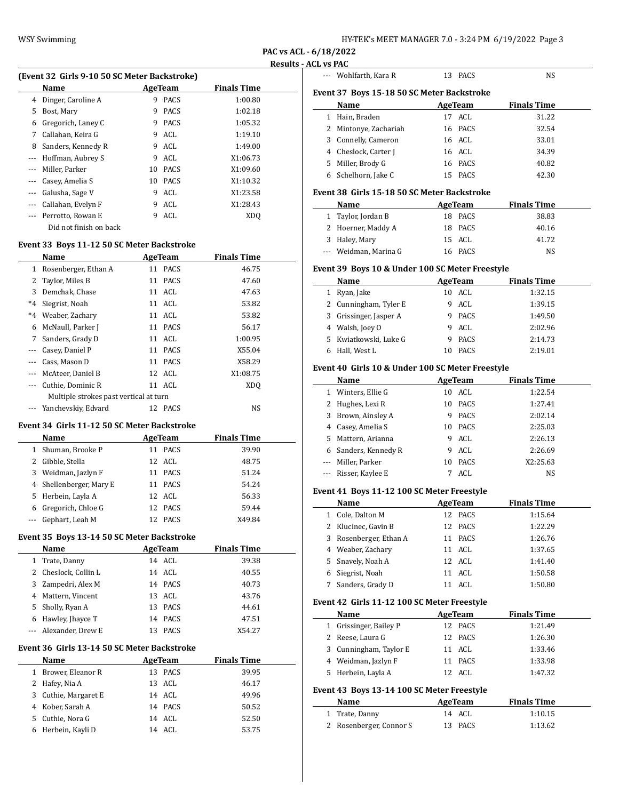**PAC vs ACL - 6/18/2022**

## **Results - ACL vs PAC**

|              | (Event 32 Girls 9-10 50 SC Meter Backstroke) |    |             |                    |  |  |
|--------------|----------------------------------------------|----|-------------|--------------------|--|--|
|              | Name<br>AgeTeam                              |    |             | <b>Finals Time</b> |  |  |
| 4            | Dinger, Caroline A                           | 9  | <b>PACS</b> | 1:00.80            |  |  |
| 5            | Bost, Mary                                   | 9  | <b>PACS</b> | 1:02.18            |  |  |
| 6            | Gregorich, Laney C                           | 9  | <b>PACS</b> | 1:05.32            |  |  |
| 7            | Callahan, Keira G                            | 9  | ACL         | 1:19.10            |  |  |
| 8            | Sanders, Kennedy R                           | 9  | ACL         | 1:49.00            |  |  |
| $---$        | Hoffman, Aubrey S                            | 9  | ACL         | X1:06.73           |  |  |
| $---$        | Miller, Parker                               | 10 | <b>PACS</b> | X1:09.60           |  |  |
| $---$        | Casey, Amelia S                              | 10 | <b>PACS</b> | X1:10.32           |  |  |
|              | Galusha, Sage V                              | 9  | ACL         | X1:23.58           |  |  |
|              | Callahan, Evelyn F                           | 9  | ACL         | X1:28.43           |  |  |
|              | Perrotto, Rowan E                            | 9  | ACL         | XD <sub>O</sub>    |  |  |
|              | Did not finish on back                       |    |             |                    |  |  |
|              | Event 33 Boys 11-12 50 SC Meter Backstroke   |    |             |                    |  |  |
|              | Name                                         |    | AgeTeam     | <b>Finals Time</b> |  |  |
| $\mathbf{1}$ | Rosenberger, Ethan A                         |    | 11 PACS     | 46.75              |  |  |
|              |                                              |    |             |                    |  |  |

| 2 Taylor, Miles B     |             | 47.60                                                                                                                                                  |
|-----------------------|-------------|--------------------------------------------------------------------------------------------------------------------------------------------------------|
| Demchak, Chase        |             | 47.63                                                                                                                                                  |
| Siegrist, Noah        |             | 53.82                                                                                                                                                  |
| *4 Weaber, Zachary    |             | 53.82                                                                                                                                                  |
| 6 McNaull, Parker J   |             | 56.17                                                                                                                                                  |
| 7 Sanders, Grady D    |             | 1:00.95                                                                                                                                                |
| --- Casey, Daniel P   |             | X55.04                                                                                                                                                 |
| --- Cass, Mason D     |             | X58.29                                                                                                                                                 |
| --- McAteer, Daniel B |             | X1:08.75                                                                                                                                               |
| --- Cuthie, Dominic R |             | XD <sub>O</sub>                                                                                                                                        |
|                       |             |                                                                                                                                                        |
| Yanchevskiy, Edvard   | <b>PACS</b> | NS                                                                                                                                                     |
|                       |             | 11 PACS<br>11 ACL<br>11 ACL<br>11 ACL<br>11 PACS<br>11 ACL<br>11 PACS<br>11 PACS<br>12 ACL<br>$11$ ACL<br>Multiple strokes past vertical at turn<br>12 |

#### **Event 34 Girls 11-12 50 SC Meter Backstroke**

| Name                    |    | AgeTeam     | <b>Finals Time</b> |
|-------------------------|----|-------------|--------------------|
| 1 Shuman, Brooke P      | 11 | <b>PACS</b> | 39.90              |
| 2 Gibble, Stella        |    | 12 ACL      | 48.75              |
| 3 Weidman, Jazlyn F     | 11 | <b>PACS</b> | 51.24              |
| 4 Shellenberger, Mary E |    | 11 PACS     | 54.24              |
| 5 Herbein, Layla A      |    | $12$ ACL    | 56.33              |
| 6 Gregorich, Chloe G    |    | 12 PACS     | 59.44              |
| --- Gephart, Leah M     | 12 | <b>PACS</b> | X49.84             |

## **Event 35 Boys 13-14 50 SC Meter Backstroke**

| Name                  | AgeTeam           | <b>Finals Time</b> |
|-----------------------|-------------------|--------------------|
| 1 Trate, Danny        | 14 ACL            | 39.38              |
| 2 Cheslock, Collin L  | 14 ACL            | 40.55              |
| 3 Zampedri, Alex M    | 14 PACS           | 40.73              |
| 4 Mattern, Vincent    | 13 ACL            | 43.76              |
| 5 Sholly, Ryan A      | <b>PACS</b><br>13 | 44.61              |
| 6 Hawley, Jhayce T    | 14 PACS           | 47.51              |
| --- Alexander, Drew E | <b>PACS</b>       | X54.27             |

#### **Event 36 Girls 13-14 50 SC Meter Backstroke**

|    | <b>Name</b>          | AgeTeam   | <b>Finals Time</b> |
|----|----------------------|-----------|--------------------|
| 1. | Brower, Eleanor R    | 13 PACS   | 39.95              |
|    | 2 Hafey, Nia A       | 13 ACL    | 46.17              |
|    | 3 Cuthie, Margaret E | 14 ACL    | 49.96              |
|    | 4 Kober, Sarah A     | 14 PACS   | 50.52              |
| 5. | Cuthie, Nora G       | 14 ACL    | 52.50              |
|    | Herbein, Kayli D     | ACL<br>14 | 53.75              |

|    | --- Wohlfarth, Kara R                      | PACS<br>13         | <b>NS</b>          |  |
|----|--------------------------------------------|--------------------|--------------------|--|
|    | Event 37 Boys 15-18 50 SC Meter Backstroke |                    |                    |  |
|    | Name                                       | AgeTeam            | <b>Finals Time</b> |  |
| 1  | Hain, Braden                               | 17 ACL             | 31.22              |  |
|    | 2 Mintonye, Zachariah                      | 16 PACS            | 32.54              |  |
|    | 3 Connelly, Cameron                        | 16 ACL             | 33.01              |  |
|    | 4 Cheslock, Carter J                       | 16 ACL             | 34.39              |  |
| 5. | Miller, Brody G                            | 16 PACS            | 40.82              |  |
| 6  | Schelhorn, Jake C                          | <b>PACS</b><br>15. | 42.30              |  |

#### **Event 38 Girls 15-18 50 SC Meter Backstroke**

| Name                  | AgeTeam | <b>Finals Time</b> |  |
|-----------------------|---------|--------------------|--|
| 1 Taylor, Jordan B    | 18 PACS | 38.83              |  |
| 2 Hoerner, Maddy A    | 18 PACS | 40.16              |  |
| 3 Haley, Mary         | 15 ACL  | 41.72              |  |
| --- Weidman, Marina G | 16 PACS | NS                 |  |

# **Event 39 Boys 10 & Under 100 SC Meter Freestyle**

|   | Name                   |   | AgeTeam     | <b>Finals Time</b> |
|---|------------------------|---|-------------|--------------------|
| 1 | Ryan, Jake             |   | 10 ACL      | 1:32.15            |
|   | 2 Cunningham, Tyler E  | 9 | ACL         | 1:39.15            |
|   | 3 Grissinger, Jasper A | 9 | <b>PACS</b> | 1:49.50            |
|   | 4 Walsh, Joey O        | 9 | ACL         | 2:02.96            |
|   | 5 Kwiatkowski, Luke G  | 9 | <b>PACS</b> | 2:14.73            |
|   | Hall, West L           |   | <b>PACS</b> | 2:19.01            |

# **Event 40 Girls 10 & Under 100 SC Meter Freestyle**

|   | Name                 |    | AgeTeam     | <b>Finals Time</b> |  |
|---|----------------------|----|-------------|--------------------|--|
| 1 | Winters, Ellie G     | 10 | ACL         | 1:22.54            |  |
|   | 2 Hughes, Lexi R     | 10 | <b>PACS</b> | 1:27.41            |  |
|   | 3 Brown, Ainsley A   | 9  | <b>PACS</b> | 2:02.14            |  |
| 4 | Casey, Amelia S      | 10 | <b>PACS</b> | 2:25.03            |  |
|   | 5 Mattern, Arianna   | 9  | ACL         | 2:26.13            |  |
| 6 | Sanders, Kennedy R   | 9  | ACL         | 2:26.69            |  |
|   | --- Miller, Parker   | 10 | <b>PACS</b> | X2:25.63           |  |
|   | --- Risser, Kaylee E |    | ACL         | <b>NS</b>          |  |

## **Event 41 Boys 11-12 100 SC Meter Freestyle**

| Name                   | AgeTeam |         | <b>Finals Time</b> |
|------------------------|---------|---------|--------------------|
| 1 Cole, Dalton M       |         | 12 PACS | 1:15.64            |
| 2 Klucinec, Gavin B    |         | 12 PACS | 1:22.29            |
| 3 Rosenberger, Ethan A |         | 11 PACS | 1:26.76            |
| 4 Weaber, Zachary      |         | 11 ACL  | 1:37.65            |
| 5 Snavely, Noah A      |         | 12 ACL  | 1:41.40            |
| 6 Siegrist, Noah       |         | 11 ACL  | 1:50.58            |
| Sanders, Grady D       |         | ACL     | 1:50.80            |

#### **Event 42 Girls 11-12 100 SC Meter Freestyle**

| Name                   | AgeTeam | <b>Finals Time</b> |
|------------------------|---------|--------------------|
| 1 Grissinger, Bailey P | 12 PACS | 1:21.49            |
| 2 Reese, Laura G       | 12 PACS | 1:26.30            |
| 3 Cunningham, Taylor E | 11 ACL  | 1:33.46            |
| 4 Weidman, Jazlyn F    | 11 PACS | 1:33.98            |
| 5 Herbein, Layla A     | 12 ACL  | 1:47.32            |

# **Event 43 Boys 13-14 100 SC Meter Freestyle**

| <b>Name</b>             | AgeTeam | <b>Finals Time</b> |  |
|-------------------------|---------|--------------------|--|
| 1 Trate, Danny          | 14 ACL  | 1:10.15            |  |
| 2 Rosenberger, Connor S | 13 PACS | 1:13.62            |  |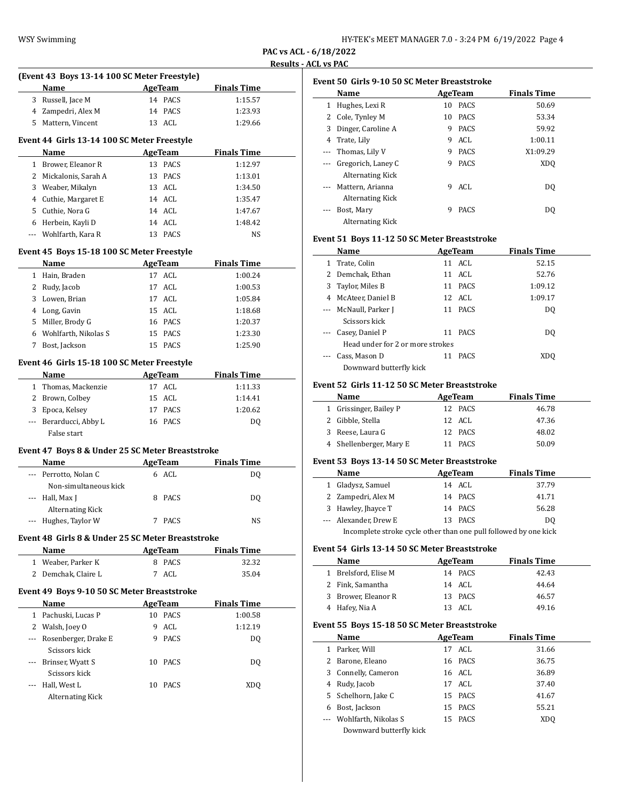**PAC vs ACL - 6/18/2022 Results - ACL vs PAC**

| <b>Finals Time</b> |
|--------------------|
|                    |
| 1:15.57            |
| 1:23.93            |
| 1:29.66            |
|                    |
| <b>Finals Time</b> |
| 1:12.97            |
| 1:13.01            |
| 1:34.50            |
| 1:35.47            |
| 1:47.67            |
| 1:48.42            |
| NS                 |
|                    |
| <b>Finals Time</b> |
| 1:00.24            |
| 1:00.53            |
| 1:05.84            |
| 1:18.68            |
| 1:20.37            |
| 1:23.30            |
| 1:25.90            |
|                    |
| <b>Finals Time</b> |
| 1:11.33            |
| 1:14.41            |
| 1:20.62            |
| DQ                 |
|                    |
|                    |
| <b>Finals Time</b> |
|                    |
| DQ                 |
|                    |
| DQ                 |
|                    |
| NS                 |
|                    |
| <b>Finals Time</b> |
| 32.32              |
| 35.04              |
|                    |
| <b>Finals Time</b> |
| 1:00.58            |
|                    |
| 1:12.19            |
| DQ                 |
| DQ                 |
|                    |
| XDQ                |
|                    |

| Event 50 Girls 9-10 50 SC Meter Breaststroke |                                        |    |             |                    |  |
|----------------------------------------------|----------------------------------------|----|-------------|--------------------|--|
|                                              | Name                                   |    | AgeTeam     | <b>Finals Time</b> |  |
|                                              | Hughes, Lexi R                         | 10 | <b>PACS</b> | 50.69              |  |
| 2                                            | Cole, Tynley M                         | 10 | <b>PACS</b> | 53.34              |  |
| 3                                            | Dinger, Caroline A                     | 9  | <b>PACS</b> | 59.92              |  |
| 4                                            | Trate, Lily                            | 9  | ACL.        | 1:00.11            |  |
|                                              | --- Thomas, Lily V                     | 9  | <b>PACS</b> | X1:09.29           |  |
|                                              | Gregorich, Laney C<br>Alternating Kick | 9  | <b>PACS</b> | XD <sub>0</sub>    |  |
|                                              | Mattern, Arianna<br>Alternating Kick   | 9  | ACL         | D <sub>0</sub>     |  |
|                                              | Bost, Mary<br>Alternating Kick         | 9  | <b>PACS</b> | DO                 |  |

# **Event 51 Boys 11-12 50 SC Meter Breaststroke**

|   | Name                             |    | AgeTeam     | <b>Finals Time</b> |  |
|---|----------------------------------|----|-------------|--------------------|--|
| 1 | Trate, Colin                     |    | 11 ACL      | 52.15              |  |
|   | 2 Demchak, Ethan                 |    | 11 ACL      | 52.76              |  |
| 3 | Taylor, Miles B                  |    | 11 PACS     | 1:09.12            |  |
| 4 | McAteer, Daniel B                |    | 12 ACL      | 1:09.17            |  |
|   | --- McNaull, Parker J            |    | 11 PACS     | DO.                |  |
|   | Scissors kick                    |    |             |                    |  |
|   | --- Casey, Daniel P              | 11 | PACS        | DO.                |  |
|   | Head under for 2 or more strokes |    |             |                    |  |
|   | Cass, Mason D                    | 11 | <b>PACS</b> | XDO                |  |
|   | Downward butterfly kick          |    |             |                    |  |

## **Event 52 Girls 11-12 50 SC Meter Breaststroke**

| Name                    | AgeTeam | <b>Finals Time</b> |
|-------------------------|---------|--------------------|
| 1 Grissinger, Bailey P  | 12 PACS | 46.78              |
| 2 Gibble, Stella        | 12 ACL  | 47.36              |
| 3 Reese, Laura G        | 12 PACS | 48.02              |
| 4 Shellenberger, Mary E | PACS    | 50.09              |

## **Event 53 Boys 13-14 50 SC Meter Breaststroke**

|                                                                  | Name                  | AgeTeam | <b>Finals Time</b> |  |
|------------------------------------------------------------------|-----------------------|---------|--------------------|--|
|                                                                  |                       |         |                    |  |
|                                                                  | 1 Gladysz, Samuel     | 14 ACL  | 37.79              |  |
|                                                                  | 2 Zampedri, Alex M    | 14 PACS | 41.71              |  |
|                                                                  | 3 Hawley, Jhayce T    | 14 PACS | 56.28              |  |
|                                                                  | --- Alexander, Drew E | 13 PACS | DO.                |  |
| Incomplete stroke cycle other than one pull followed by one kick |                       |         |                    |  |

## **Event 54 Girls 13-14 50 SC Meter Breaststroke**

| Name                 | AgeTeam | <b>Finals Time</b> |
|----------------------|---------|--------------------|
| 1 Brelsford, Elise M | 14 PACS | 42.43              |
| 2 Fink, Samantha     | 14 ACL  | 44.64              |
| 3 Brower, Eleanor R  | 13 PACS | 46.57              |
| 4 Hafey, Nia A       | 13 ACL  | 49.16              |

# **Event 55 Boys 15-18 50 SC Meter Breaststroke**

|   | Name                     | AgeTeam |         | <b>Finals Time</b> |
|---|--------------------------|---------|---------|--------------------|
| 1 | Parker, Will             | 17      | ACL     | 31.66              |
|   | 2 Barone, Eleano         |         | 16 PACS | 36.75              |
|   | 3 Connelly, Cameron      |         | 16 ACL  | 36.89              |
|   | 4 Rudy, Jacob            | 17      | ACL     | 37.40              |
|   | 5 Schelhorn, Jake C      |         | 15 PACS | 41.67              |
| 6 | Bost, Jackson            |         | 15 PACS | 55.21              |
|   | --- Wohlfarth, Nikolas S |         | 15 PACS | XD <sub>0</sub>    |
|   | Downward butterfly kick  |         |         |                    |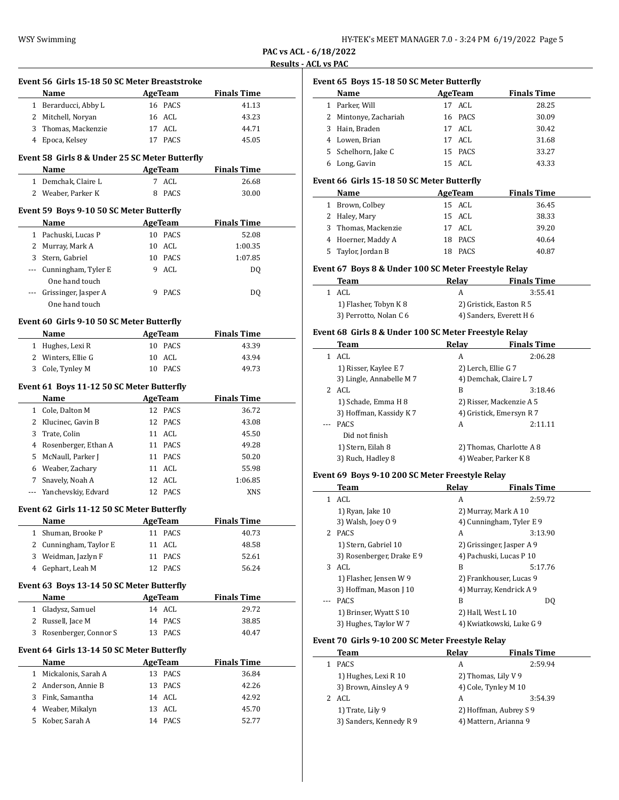| HY-TEK's MEET MANAGER 7.0 - 3:24 PM 6/19/2022 Page 5 |  |  |  |
|------------------------------------------------------|--|--|--|
|------------------------------------------------------|--|--|--|

**PAC vs ACL - 6/18/2022 Results - ACL vs PAC**

|                       | Event 56 Girls 15-18 50 SC Meter Breaststroke  |    |                |                    |
|-----------------------|------------------------------------------------|----|----------------|--------------------|
|                       | Name                                           |    | AgeTeam        | <b>Finals Time</b> |
|                       | 1 Berarducci, Abby L                           |    | 16 PACS        | 41.13              |
|                       | 2 Mitchell, Noryan                             |    | 16 ACL         | 43.23              |
|                       | 3 Thomas, Mackenzie                            |    | 17 ACL         | 44.71              |
|                       | 4 Epoca, Kelsey                                |    | 17 PACS        | 45.05              |
|                       | Event 58 Girls 8 & Under 25 SC Meter Butterfly |    |                |                    |
|                       | Name                                           |    | AgeTeam        | <b>Finals Time</b> |
|                       | 1 Demchak, Claire L                            |    | 7 ACL          | 26.68              |
|                       | 2 Weaber, Parker K                             | 8  | <b>PACS</b>    | 30.00              |
|                       | Event 59 Boys 9-10 50 SC Meter Butterfly       |    |                |                    |
|                       | Name                                           |    | <b>AgeTeam</b> | <b>Finals Time</b> |
|                       | 1 Pachuski, Lucas P                            |    | 10 PACS        | 52.08              |
|                       | 2 Murray, Mark A                               |    | 10 ACL         | 1:00.35            |
|                       | 3 Stern, Gabriel                               |    | 10 PACS        | 1:07.85            |
|                       | --- Cunningham, Tyler E<br>One hand touch      |    | 9 ACL          | DQ                 |
|                       | --- Grissinger, Jasper A                       |    | 9 PACS         | DQ                 |
|                       | One hand touch                                 |    |                |                    |
|                       | Event 60 Girls 9-10 50 SC Meter Butterfly      |    |                |                    |
|                       | Name                                           |    | <b>AgeTeam</b> | <b>Finals Time</b> |
|                       | 1 Hughes, Lexi R                               |    | 10 PACS        | 43.39              |
|                       | 2 Winters, Ellie G                             |    | $10$ ACL       | 43.94              |
|                       | 3 Cole, Tynley M                               |    | 10 PACS        | 49.73              |
|                       | Event 61 Boys 11-12 50 SC Meter Butterfly      |    |                |                    |
|                       | Name                                           |    | <b>AgeTeam</b> | <b>Finals Time</b> |
|                       | 1 Cole, Dalton M                               |    | 12 PACS        | 36.72              |
|                       |                                                |    | 12 PACS        |                    |
|                       |                                                |    |                |                    |
|                       | 2 Klucinec, Gavin B                            |    |                | 43.08              |
|                       | 3 Trate, Colin                                 |    | 11 ACL         | 45.50              |
|                       | 4 Rosenberger, Ethan A                         |    | 11 PACS        | 49.28              |
|                       | 5 McNaull, Parker J                            |    | 11 PACS        | 50.20              |
|                       | 6 Weaber, Zachary                              |    | 11 ACL         | 55.98              |
|                       | 7 Snavely, Noah A                              |    | 12 ACL         | 1:06.85            |
|                       | Yanchevskiy, Edvard                            |    | 12 PACS        | <b>XNS</b>         |
|                       | Event 62 Girls 11-12 50 SC Meter Butterfly     |    |                |                    |
|                       | <u>Name</u>                                    |    | <b>AgeTeam</b> | <b>Finals Time</b> |
| 1                     | Shuman, Brooke P                               | 11 | PACS           | 40.73              |
| 2                     | Cunningham, Taylor E                           | 11 | ACL            | 48.58              |
| 3                     | Weidman, Jazlyn F                              | 11 | PACS           | 52.61              |
| 4                     | Gephart, Leah M                                | 12 | <b>PACS</b>    | 56.24              |
|                       | Event 63 Boys 13-14 50 SC Meter Butterfly      |    |                |                    |
|                       | Name                                           |    | <b>AgeTeam</b> | <b>Finals Time</b> |
| 1                     | Gladysz, Samuel                                |    | 14 ACL         | 29.72              |
| $\mathbf{2}^{\prime}$ | Russell, Jace M                                |    | 14 PACS        | 38.85              |
| 3                     | Rosenberger, Connor S                          | 13 | PACS           | 40.47              |
|                       | Event 64 Girls 13-14 50 SC Meter Butterfly     |    |                |                    |
|                       | Name                                           |    | <b>AgeTeam</b> | <b>Finals Time</b> |
| $\mathbf{1}$          | Mickalonis, Sarah A                            | 13 | PACS           | 36.84              |
| 2                     | Anderson, Annie B                              | 13 | PACS           | 42.26              |
| 3                     | Fink, Samantha                                 | 14 | ACL            | 42.92              |
| 4                     | Weaber, Mikalyn                                | 13 | ACL            | 45.70              |

|     | Event 65 Boys 15-18 50 SC Meter Butterfly             |                     |                           |
|-----|-------------------------------------------------------|---------------------|---------------------------|
|     | Name                                                  | <b>AgeTeam</b>      | <b>Finals Time</b>        |
|     | 1 Parker, Will                                        | 17 ACL              | 28.25                     |
|     | 2 Mintonye, Zachariah                                 | 16 PACS             | 30.09                     |
|     | 3 Hain, Braden                                        | 17 ACL              | 30.42                     |
|     | 4 Lowen, Brian                                        | 17 ACL              | 31.68                     |
|     | 5 Schelhorn, Jake C                                   | 15 PACS             | 33.27                     |
|     | 6 Long, Gavin                                         | 15 ACL              | 43.33                     |
|     | Event 66 Girls 15-18 50 SC Meter Butterfly            |                     |                           |
|     | Name                                                  | <b>AgeTeam</b>      | <b>Finals Time</b>        |
|     | 1 Brown, Colbey                                       | 15 ACL              | 36.45                     |
|     | 2 Haley, Mary                                         | 15 ACL              | 38.33                     |
| 3   | Thomas, Mackenzie                                     | 17 ACL              | 39.20                     |
|     | 4 Hoerner, Maddy A                                    | 18 PACS             | 40.64                     |
| 5   | Taylor, Jordan B                                      | 18 PACS             | 40.87                     |
|     |                                                       |                     |                           |
|     | Event 67 Boys 8 & Under 100 SC Meter Freestyle Relay  |                     |                           |
|     | <b>Team</b>                                           | Relay               | <b>Finals Time</b>        |
|     | 1 ACL                                                 | A                   | 3:55.41                   |
|     | 1) Flasher, Tobyn K 8                                 |                     | 2) Gristick, Easton R 5   |
|     | 3) Perrotto, Nolan C 6                                |                     | 4) Sanders, Everett H 6   |
|     | Event 68 Girls 8 & Under 100 SC Meter Freestyle Relay |                     |                           |
|     | Team                                                  |                     | Relay Finals Time         |
|     | 1 ACL                                                 | A                   | 2:06.28                   |
|     | 1) Risser, Kaylee E 7                                 | 2) Lerch, Ellie G 7 |                           |
|     | 3) Lingle, Annabelle M 7                              |                     | 4) Demchak, Claire L 7    |
|     | 2 ACL                                                 | B                   | 3:18.46                   |
|     | 1) Schade, Emma H 8                                   |                     | 2) Risser, Mackenzie A 5  |
|     | 3) Hoffman, Kassidy K 7                               |                     | 4) Gristick, Emersyn R 7  |
|     | <b>PACS</b>                                           | A                   | 2:11.11                   |
|     | Did not finish                                        |                     |                           |
|     | 1) Stern, Eilah 8                                     |                     | 2) Thomas, Charlotte A 8  |
|     | 3) Ruch, Hadley 8                                     |                     | 4) Weaber, Parker K 8     |
|     | Event 69 Boys 9-10 200 SC Meter Freestyle Relay       |                     |                           |
|     | Team                                                  | <b>Relay</b>        | <b>Finals Time</b>        |
|     | 1 ACL                                                 | A                   | 2:59.72                   |
|     | 1) Ryan, Jake 10                                      |                     | 2) Murray, Mark A 10      |
|     | 3) Walsh, Joey 09                                     |                     | 4) Cunningham, Tyler E 9  |
|     | 2 PACS                                                | A                   | 3:13.90                   |
|     | 1) Stern, Gabriel 10                                  |                     | 2) Grissinger, Jasper A 9 |
|     | 3) Rosenberger, Drake E 9                             |                     | 4) Pachuski, Lucas P 10   |
| 3   | ACL                                                   | B                   | 5:17.76                   |
|     | 1) Flasher, Jensen W 9                                |                     | 2) Frankhouser, Lucas 9   |
|     | 3) Hoffman, Mason J 10                                |                     | 4) Murray, Kendrick A 9   |
| --- | PACS                                                  | B                   | DQ                        |
|     | 1) Brinser, Wyatt S 10                                | 2) Hall, West L 10  |                           |
|     | 3) Hughes, Taylor W 7                                 |                     | 4) Kwiatkowski, Luke G 9  |
|     | Event 70 Girls 9-10 200 SC Meter Freestyle Relay      |                     |                           |
|     | Team                                                  | <b>Relay</b>        | <b>Finals Time</b>        |
| 1   | PACS                                                  | A                   | 2:59.94                   |
|     | 1) Hughes, Lexi R 10                                  |                     | 2) Thomas, Lily V 9       |
|     | 3) Brown, Ainsley A 9                                 |                     | 4) Cole, Tynley M 10      |

2 ACL A 3:54.39 1) Trate, Lily 9 2) Hoffman, Aubrey S 9 3) Sanders, Kennedy R 9 4) Mattern, Arianna 9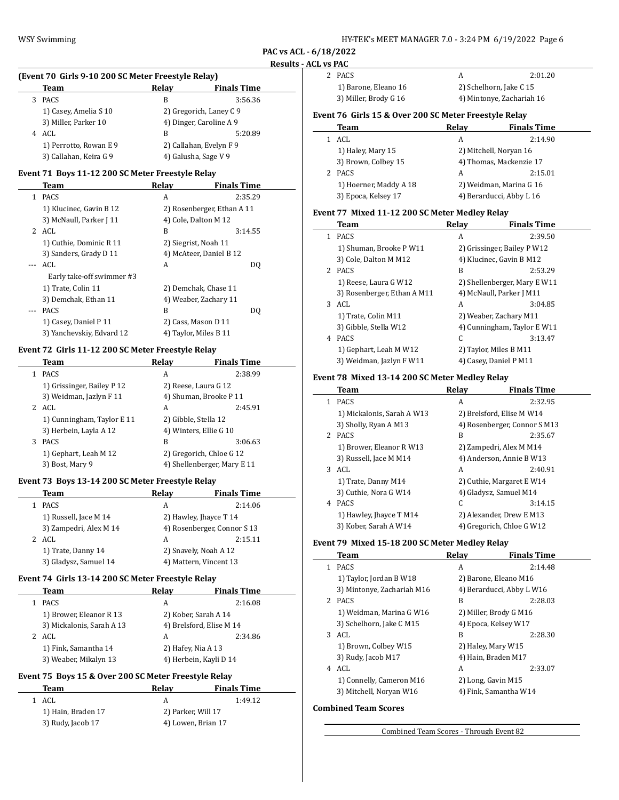**PAC vs ACL - 6/18/2022**

 $\sim$ 

 $\overline{\phantom{a}}$ 

# **Results - ACL vs PAC**

| (Event 70 Girls 9-10 200 SC Meter Freestyle Relay) |        |       |                    |
|----------------------------------------------------|--------|-------|--------------------|
|                                                    | Team   | Relay | <b>Finals Time</b> |
|                                                    | 3 PACS | R     | 3:56.36            |

|                      | 1) Casey, Amelia S 10  | 2) Gregorich, Laney C 9 |         |
|----------------------|------------------------|-------------------------|---------|
| 3) Miller, Parker 10 |                        | 4) Dinger, Caroline A 9 |         |
|                      | ACL                    | B                       | 5:20.89 |
|                      | 1) Perrotto, Rowan E 9 | 2) Callahan, Evelyn F 9 |         |
|                      | 3) Callahan, Keira G 9 | 4) Galusha, Sage V 9    |         |

#### **Event 71 Boys 11-12 200 SC Meter Freestyle Relay**

|    | Team                      | Relav | <b>Finals Time</b>         |
|----|---------------------------|-------|----------------------------|
| 1. | <b>PACS</b>               | A     | 2:35.29                    |
|    | 1) Klucinec, Gavin B 12   |       | 2) Rosenberger, Ethan A 11 |
|    | 3) McNaull, Parker J 11   |       | 4) Cole, Dalton M 12       |
|    | 2 ACL                     | B     | 3:14.55                    |
|    | 1) Cuthie, Dominic R 11   |       | 2) Siegrist, Noah 11       |
|    | 3) Sanders, Grady D 11    |       | 4) McAteer, Daniel B 12    |
|    | ACL.                      | A     | DO                         |
|    | Early take-off swimmer #3 |       |                            |
|    | 1) Trate, Colin 11        |       | 2) Demchak, Chase 11       |
|    | 3) Demchak, Ethan 11      |       | 4) Weaber, Zachary 11      |
|    | <b>PACS</b>               | B     | DO.                        |
|    | 1) Casey, Daniel P 11     |       | 2) Cass, Mason D 11        |
|    | 3) Yanchevskiy, Edvard 12 |       | 4) Taylor, Miles B 11      |

# **Event 72 Girls 11-12 200 SC Meter Freestyle Relay**

| Team                       |                            | Relav | <b>Finals Time</b>          |
|----------------------------|----------------------------|-------|-----------------------------|
| <b>PACS</b>                |                            | A     | 2:38.99                     |
| 1) Grissinger, Bailey P 12 |                            |       | 2) Reese, Laura G 12        |
| 3) Weidman, Jazlyn F 11    |                            |       | 4) Shuman, Brooke P 11      |
| ACL                        |                            | A     | 2:45.91                     |
|                            | 1) Cunningham, Taylor E 11 |       | 2) Gibble, Stella 12        |
| 3) Herbein, Layla A 12     |                            |       | 4) Winters, Ellie G 10      |
| <b>PACS</b><br>3           |                            | B     | 3:06.63                     |
| 1) Gephart, Leah M 12      |                            |       | 2) Gregorich, Chloe G 12    |
| 3) Bost, Mary 9            |                            |       | 4) Shellenberger, Mary E 11 |

## **Event 73 Boys 13-14 200 SC Meter Freestyle Relay**

|   | Team                   | Relay                  | <b>Finals Time</b>          |
|---|------------------------|------------------------|-----------------------------|
|   | <b>PACS</b>            | А                      | 2:14.06                     |
|   | 1) Russell, Jace M 14  | 2) Hawley, Jhayce T 14 |                             |
|   | 3) Zampedri, Alex M 14 |                        | 4) Rosenberger, Connor S 13 |
| 2 | ACL                    | A                      | 2:15.11                     |
|   | 1) Trate, Danny 14     |                        | 2) Snavely, Noah A 12       |
|   | 3) Gladysz, Samuel 14  |                        | 4) Mattern, Vincent 13      |

#### **Event 74 Girls 13-14 200 SC Meter Freestyle Relay**

| Team                      | Relay                  | <b>Finals Time</b>       |
|---------------------------|------------------------|--------------------------|
| <b>PACS</b>               | А                      | 2:16.08                  |
| 1) Brower, Eleanor R 13   |                        | 2) Kober, Sarah A 14     |
| 3) Mickalonis, Sarah A 13 |                        | 4) Brelsford, Elise M 14 |
| ACL                       | А                      | 2:34.86                  |
| 1) Fink, Samantha 14      |                        | 2) Hafey, Nia A 13       |
| 3) Weaber, Mikalyn 13     | 4) Herbein, Kayli D 14 |                          |

## **Event 75 Boys 15 & Over 200 SC Meter Freestyle Relay**

| Team               | Relav              | <b>Finals Time</b> |
|--------------------|--------------------|--------------------|
| ACL<br>1.          |                    | 1:49.12            |
| 1) Hain, Braden 17 | 2) Parker, Will 17 |                    |
| 3) Rudy, Jacob 17  | 4) Lowen, Brian 17 |                    |

| 2 PACS                |                           | 2:01.20 |
|-----------------------|---------------------------|---------|
| 1) Barone, Eleano 16  | 2) Schelhorn, Jake C 15   |         |
| 3) Miller, Brody G 16 | 4) Mintonye, Zachariah 16 |         |

## **Event 76 Girls 15 & Over 200 SC Meter Freestyle Relay**

| Team                   | Relav | <b>Finals Time</b>       |
|------------------------|-------|--------------------------|
| ACL                    | А     | 2:14.90                  |
| 1) Haley, Mary 15      |       | 2) Mitchell, Norvan 16   |
| 3) Brown, Colbey 15    |       | 4) Thomas, Mackenzie 17  |
| 2 PACS                 | A     | 2:15.01                  |
| 1) Hoerner, Maddy A 18 |       | 2) Weidman, Marina G 16  |
| 3) Epoca, Kelsey 17    |       | 4) Berarducci, Abby L 16 |

#### **Event 77 Mixed 11-12 200 SC Meter Medley Relay**

|    | Team                        | Relav | <b>Finals Time</b>           |
|----|-----------------------------|-------|------------------------------|
| 1. | <b>PACS</b>                 | A     | 2:39.50                      |
|    | 1) Shuman, Brooke P W11     |       | 2) Grissinger, Bailey P W12  |
|    | 3) Cole, Dalton M M12       |       | 4) Klucinec, Gavin B M12     |
| 2  | <b>PACS</b>                 | B     | 2:53.29                      |
|    | 1) Reese, Laura G W12       |       | 2) Shellenberger, Mary E W11 |
|    | 3) Rosenberger, Ethan A M11 |       | 4) McNaull, Parker J M11     |
| 3  | ACL                         | A     | 3:04.85                      |
|    | 1) Trate, Colin M11         |       | 2) Weaber, Zachary M11       |
|    | 3) Gibble, Stella W12       |       | 4) Cunningham, Taylor E W11  |
| 4  | <b>PACS</b>                 | C     | 3:13.47                      |
|    | 1) Gephart, Leah M W12      |       | 2) Taylor, Miles B M11       |
|    | 3) Weidman, Jazlyn F W11    |       | 4) Casey, Daniel P M11       |

#### **Event 78 Mixed 13-14 200 SC Meter Medley Relay**

|   | Team                       | Relav | <b>Finals Time</b>           |
|---|----------------------------|-------|------------------------------|
| 1 | <b>PACS</b>                | A     | 2:32.95                      |
|   | 1) Mickalonis, Sarah A W13 |       | 2) Brelsford, Elise M W14    |
|   | 3) Sholly, Ryan A M13      |       | 4) Rosenberger, Connor S M13 |
| 2 | <b>PACS</b>                | B     | 2:35.67                      |
|   | 1) Brower, Eleanor R W13   |       | 2) Zampedri, Alex M M14      |
|   | 3) Russell, Jace M M14     |       | 4) Anderson, Annie B W13     |
| 3 | ACL.                       | A     | 2:40.91                      |
|   | 1) Trate, Danny M14        |       | 2) Cuthie, Margaret E W14    |
|   | 3) Cuthie, Nora G W14      |       | 4) Gladysz, Samuel M14       |
| 4 | <b>PACS</b>                | C     | 3:14.15                      |
|   | 1) Hawley, Jhayce T M14    |       | 2) Alexander, Drew E M13     |
|   | 3) Kober, Sarah A W14      |       | 4) Gregorich, Chloe G W12    |

#### **Event 79 Mixed 15-18 200 SC Meter Medley Relay**

|    | Team                       | Relav | <b>Finals Time</b>        |
|----|----------------------------|-------|---------------------------|
| 1. | <b>PACS</b>                | A     | 2:14.48                   |
|    | 1) Taylor, Jordan B W18    |       | 2) Barone, Eleano M16     |
|    | 3) Mintonye, Zachariah M16 |       | 4) Berarducci, Abby L W16 |
| 2. | <b>PACS</b>                | B     | 2:28.03                   |
|    | 1) Weidman, Marina G W16   |       | 2) Miller, Brody G M16    |
|    | 3) Schelhorn, Jake C M15   |       | 4) Epoca, Kelsey W17      |
| 3  | ACL.                       | B     | 2:28.30                   |
|    | 1) Brown, Colbey W15       |       | 2) Haley, Mary W15        |
|    | 3) Rudy, Jacob M17         |       | 4) Hain, Braden M17       |
| 4  | ACL.                       | A     | 2:33.07                   |
|    | 1) Connelly, Cameron M16   |       | 2) Long, Gavin M15        |
|    | 3) Mitchell, Norvan W16    |       | 4) Fink, Samantha W14     |
|    |                            |       |                           |

# **Combined Team Scores**

Combined Team Scores - Through Event 82